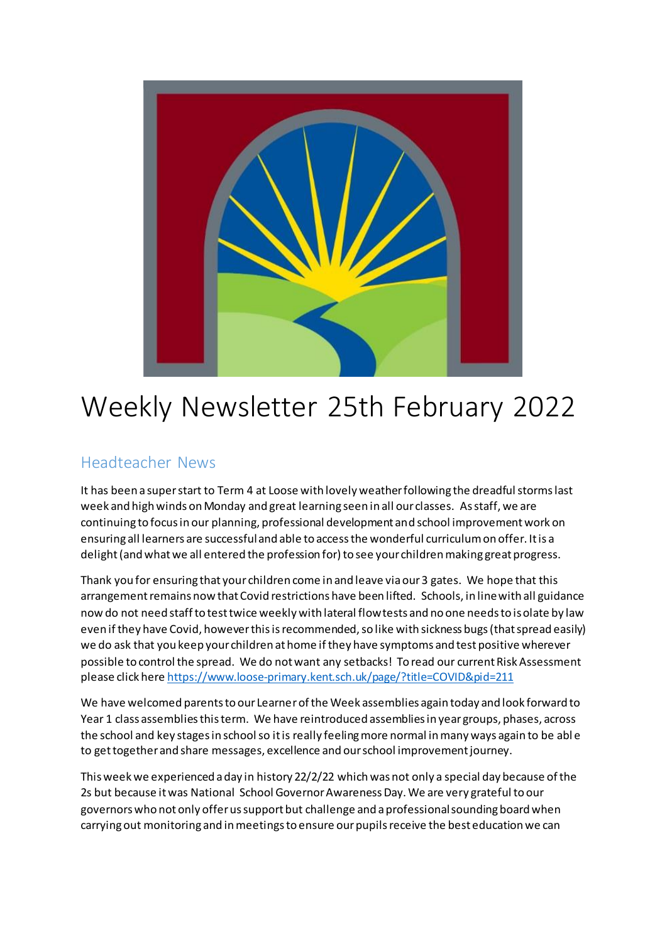

# Weekly Newsletter 25th February 2022

## Headteacher News

It has been a super start to Term 4 at Loose with lovely weather following the dreadful storms last week and high winds on Monday and great learning seen in all our classes. As staff, we are continuing to focus in our planning, professional development and school improvement work on ensuring all learners are successful and able to access the wonderful curriculum on offer. It is a delight (and what we all entered the profession for) to see your children making great progress.

Thank you for ensuring that your children come in and leave via our 3 gates. We hope that this arrangement remains now that Covid restrictions have been lifted. Schools, in line with all guidance now do not need staff to test twice weekly with lateral flow tests and no one needs to isolate by law even if they have Covid, however this is recommended, so like with sickness bugs (that spread easily) we do ask that you keep your children at home if they have symptoms and test positive wherever possible to control the spread. We do not want any setbacks! To read our current Risk Assessment please click here <https://www.loose-primary.kent.sch.uk/page/?title=COVID&pid=211>

We have welcomed parents to our Learner of the Week assemblies again today and look forward to Year 1 class assemblies this term. We have reintroduced assemblies in year groups, phases, across the school and key stages in school so it is really feeling more normal in many ways again to be abl e to get together and share messages, excellence and our school improvement journey.

This week we experienced a day in history 22/2/22 which was not only a special day because of the 2s but because it was National School Governor Awareness Day. We are very grateful to our governors who not only offer us support but challenge and a professional sounding board when carrying out monitoring and in meetings to ensure our pupils receive the best education we can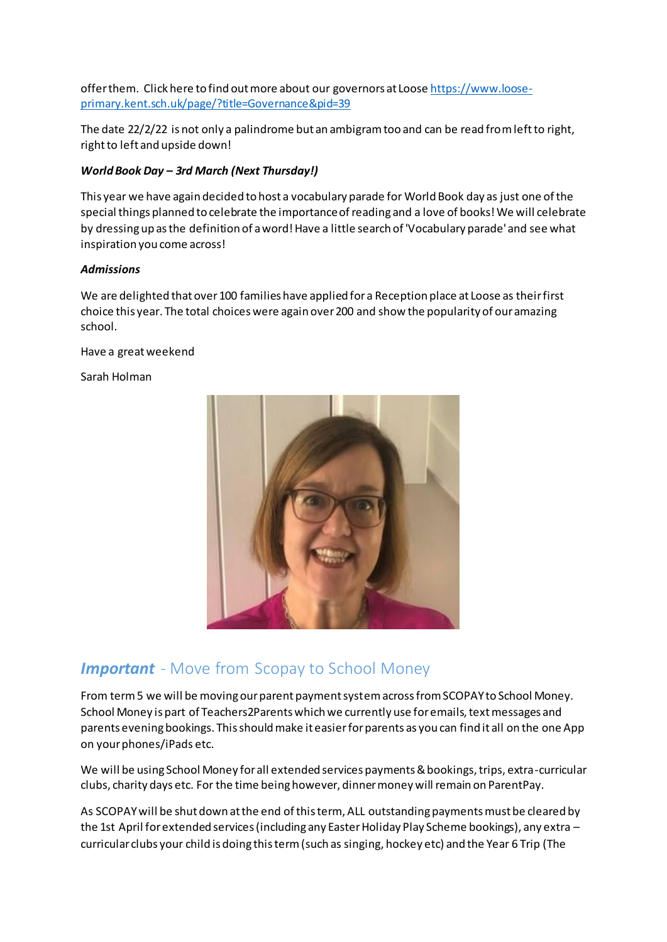offer them. Click here to find out more about our governors at Loose [https://www.loose](https://www.loose-primary.kent.sch.uk/page/?title=Governance&pid=39)[primary.kent.sch.uk/page/?title=Governance&pid=39](https://www.loose-primary.kent.sch.uk/page/?title=Governance&pid=39)

The date 22/2/22 is not only a palindrome but an ambigram too and can be read from left to right, right to left and upside down!

#### *World Book Day – 3rd March (Next Thursday!)*

This year we have again decided to host a vocabulary parade for World Book day as just one of the special things planned to celebrate the importance of reading and a love of books! We will celebrate by dressing up as the definition of a word! Have a little search of 'Vocabulary parade' and see what inspiration you come across!

#### *Admissions*

We are delighted that over 100 families have applied for a Reception place at Loose as their first choice this year. The total choices were again over 200 and show the popularity of our amazing school.

Have a great weekend

Sarah Holman



# *Important* - Move from Scopay to School Money

From term 5 we will be moving our parent payment system across from SCOPAY to School Money. School Money is part of Teachers2Parents which we currently use for emails, text messages and parents evening bookings. This should make it easier for parents as you can find it all on the one App on your phones/iPads etc.

We will be using School Money for all extended services payments & bookings, trips, extra-curricular clubs, charity days etc. For the time being however, dinner money will remain on ParentPay.

As SCOPAY will be shut down at the end of this term, ALL outstanding payments must be cleared by the 1st April for extended services (including any Easter Holiday Play Scheme bookings), any extra – curricular clubs your child is doing this term (such as singing, hockey etc) and the Year 6 Trip (The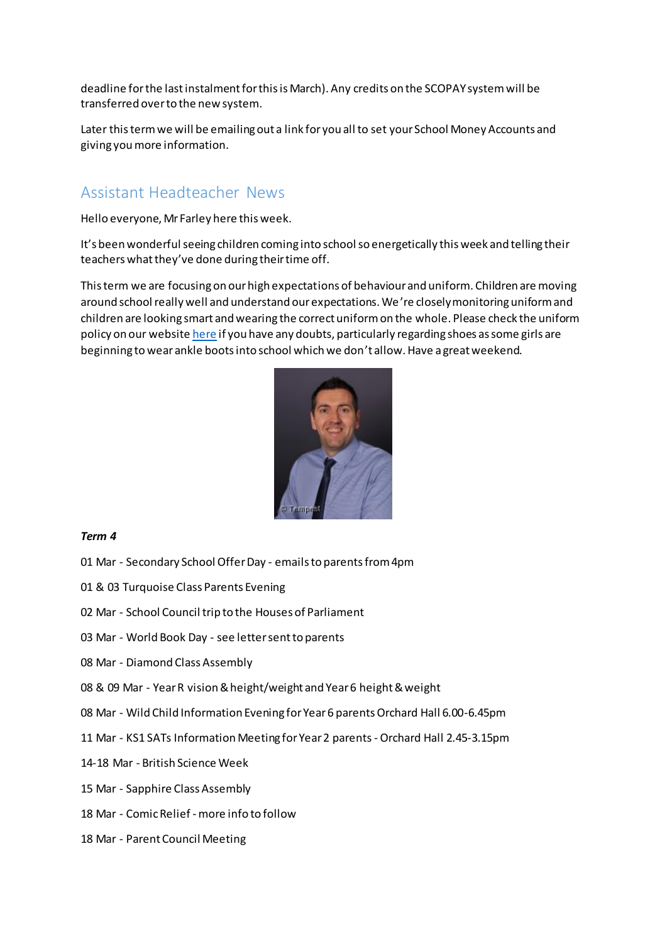deadline for the last instalment for this is March). Any credits on the SCOPAY system will be transferred over to the new system.

Later this term we will be emailing out a link for you all to set your School Money Accounts and giving you more information.

## Assistant Headteacher News

Hello everyone, Mr Farley here this week.

It's been wonderful seeing children coming into school so energetically this week and telling their teachers what they've done during their time off.

This term we are focusing on our high expectations of behaviour and uniform. Children are moving around school really well and understand our expectations. We're closely monitoring uniform and children are looking smart and wearing the correct uniform on the whole. Please check the uniform policy on our websit[e here](https://www.loose-primary.kent.sch.uk/page/?title=Uniform&pid=33) if you have any doubts, particularly regarding shoes as some girls are beginning to wear ankle boots into school which we don't allow. Have a great weekend.



#### *Term 4*

- 01 Mar Secondary School Offer Day emails to parents from 4pm
- 01 & 03 Turquoise Class Parents Evening
- 02 Mar School Council trip to the Houses of Parliament
- 03 Mar World Book Day see letter sent to parents
- 08 Mar Diamond Class Assembly
- 08 & 09 Mar Year R vision & height/weight and Year 6 height & weight
- 08 Mar Wild Child Information Evening for Year 6 parents Orchard Hall 6.00-6.45pm
- 11 Mar KS1 SATs Information Meeting for Year 2 parents -Orchard Hall 2.45-3.15pm
- 14-18 Mar British Science Week
- 15 Mar Sapphire Class Assembly
- 18 Mar Comic Relief more info to follow
- 18 Mar Parent Council Meeting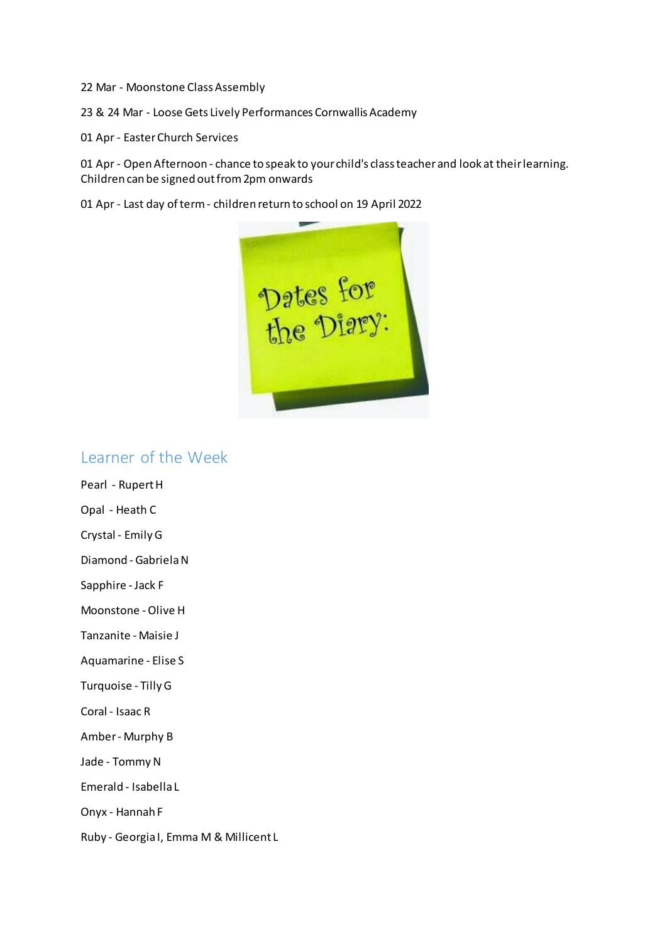22 Mar - Moonstone Class Assembly

23 & 24 Mar - Loose Gets Lively Performances Cornwallis Academy

01 Apr - Easter Church Services

01 Apr - Open Afternoon - chance to speak to your child's class teacher and look at their learning. Children can be signed out from 2pm onwards

01 Apr - Last day of term - children return to school on 19 April 2022



### Learner of the Week

Pearl - Rupert H

Opal - Heath C

Crystal - Emily G

Diamond - Gabriela N

Sapphire - Jack F

Moonstone - Olive H

Tanzanite - Maisie J

Aquamarine - Elise S

Turquoise - Tilly G

Coral - Isaac R

Amber - Murphy B

Jade - Tommy N

Emerald - Isabella L

Onyx - Hannah F

Ruby - Georgia I, Emma M & Millicent L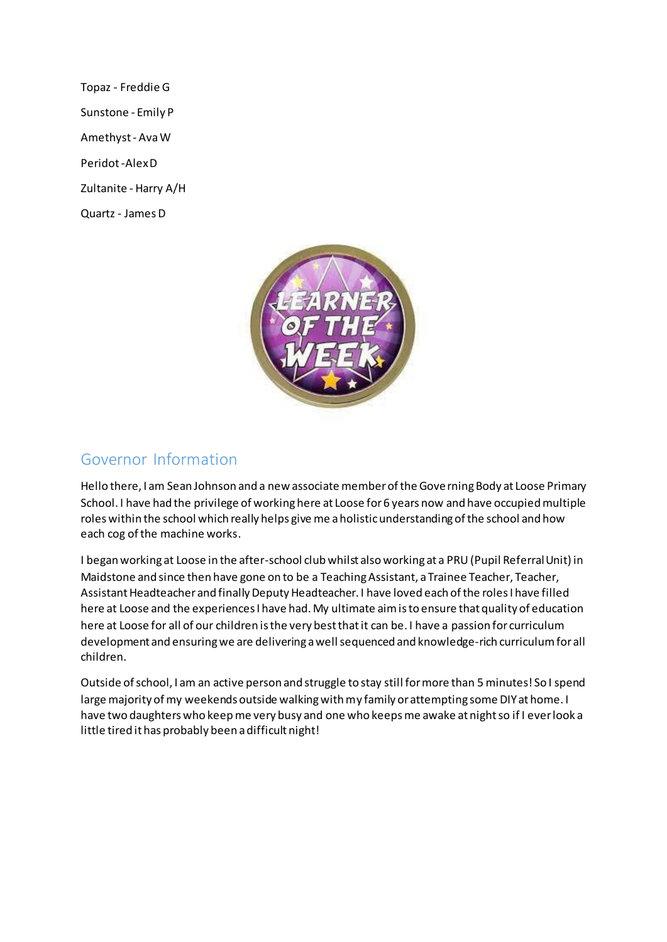Topaz - Freddie G Sunstone - Emily P Amethyst - Ava W Peridot -Alex D Zultanite - Harry A/H Quartz - James D



## Governor Information

Hello there, I am Sean Johnson and a new associate member of the Governing Body at Loose Primary School. I have had the privilege of working here at Loose for 6 years now and have occupied multiple roles within the school which really helps give me a holistic understanding of the school and how each cog of the machine works.

I began working at Loose in the after-school club whilst also working at a PRU (Pupil Referral Unit) in Maidstone and since then have gone on to be a Teaching Assistant, a Trainee Teacher, Teacher, Assistant Headteacher and finally Deputy Headteacher. I have loved each of the roles I have filled here at Loose and the experiences I have had. My ultimate aim is to ensure that quality of education here at Loose for all of our children is the very best that it can be. I have a passion for curriculum development and ensuring we are delivering a well sequenced and knowledge-rich curriculum for all children.

Outside of school, I am an active person and struggle to stay still for more than 5 minutes! So I spend large majority of my weekends outside walking with my family or attempting some DIY at home. I have two daughters who keep me very busy and one who keeps me awake at night so if I ever look a little tired it has probably been a difficult night!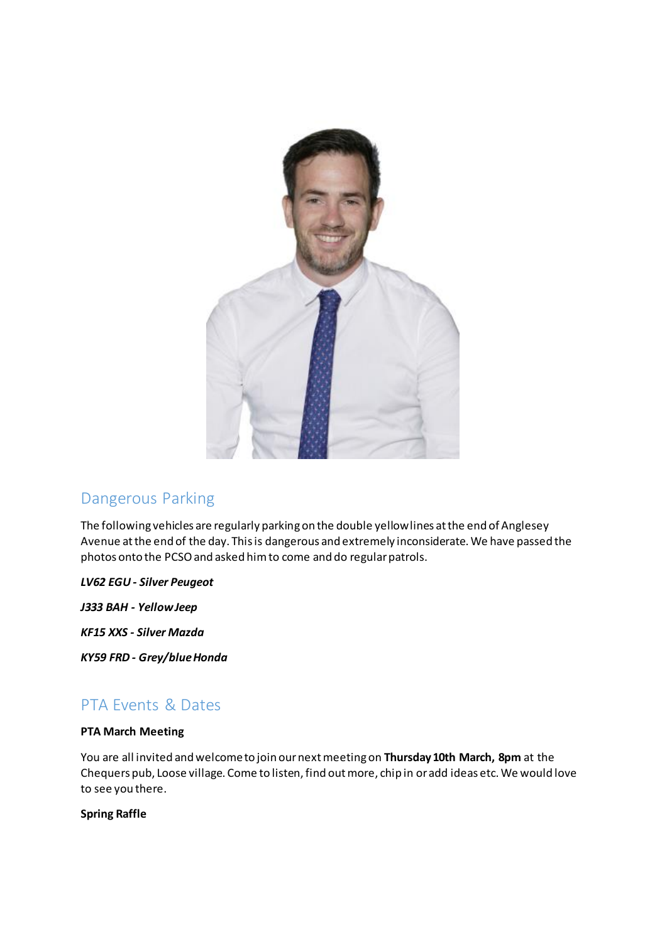

# Dangerous Parking

The following vehicles are regularly parking on the double yellow lines at the end of Anglesey Avenue at the end of the day. This is dangerous and extremely inconsiderate. We have passed the photos onto the PCSO and asked him to come and do regular patrols.

#### *LV62 EGU - Silver Peugeot*

*J333 BAH - Yellow Jeep*

*KF15 XXS - Silver Mazda*

*KY59 FRD - Grey/blue Honda*

# PTA Events & Dates

#### **PTA March Meeting**

You are all invited and welcome to join our next meeting on **Thursday 10th March, 8pm** at the Chequers pub, Loose village. Come to listen, find out more, chip in or add ideas etc. We would love to see you there.

#### **Spring Raffle**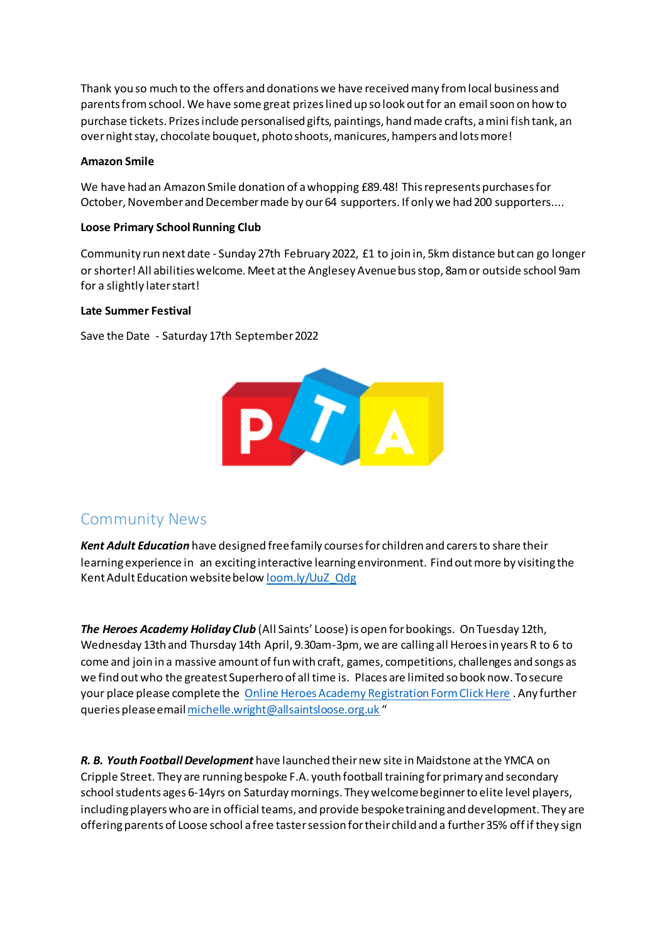Thank you so much to the offers and donations we have received many from local business and parents from school. We have some great prizes lined up so look out for an email soon on how to purchase tickets. Prizes include personalised gifts, paintings, hand made crafts, a mini fish tank, an over night stay, chocolate bouquet, photo shoots, manicures, hampers and lots more!

#### **Amazon Smile**

We have had an Amazon Smile donation of a whopping £89.48! This represents purchases for October, November and December made by our 64 supporters. If only we had 200 supporters....

#### **Loose Primary School Running Club**

Community run next date - Sunday 27th February 2022, £1 to join in, 5km distance but can go longer or shorter! All abilities welcome. Meet at the Anglesey Avenue bus stop, 8am or outside school 9am for a slightly later start!

#### **Late Summer Festival**

Save the Date - Saturday 17th September 2022



## Community News

*Kent Adult Education* have designed free family courses for children and carers to share their learning experience in an exciting interactive learning environment. Find out more by visiting the Kent Adult Education website below <u>loom.ly/UuZ\_Qdg</u>

*The Heroes Academy Holiday Club* (All Saints' Loose) is open for bookings. On Tuesday 12th, Wednesday 13th and Thursday 14th April, 9.30am-3pm, we are calling all Heroes in years R to 6 to come and join in a massive amount of fun with craft, games, competitions, challenges and songs as we find out who the greatest Superhero of all time is. Places are limited so book now. To secure your place please complete the [Online Heroes Academy Registration Form Click Here](https://forms.gle/t2ixnaLmjuK6GwHy7) . Any further queries please emai[l michelle.wright@allsaintsloose.org.uk](mailto:michelle.wright@allsaintsloose.org.uk) "

*R. B. Youth Football Development* have launched their new site in Maidstone at the YMCA on Cripple Street. They are running bespoke F.A. youth football training for primary and secondary school students ages 6-14yrs on Saturday mornings. They welcome beginner to elite level players, including players who are in official teams, and provide bespoke training and development. They are offering parents of Loose school a free taster session for their child and a further 35% off if they sign